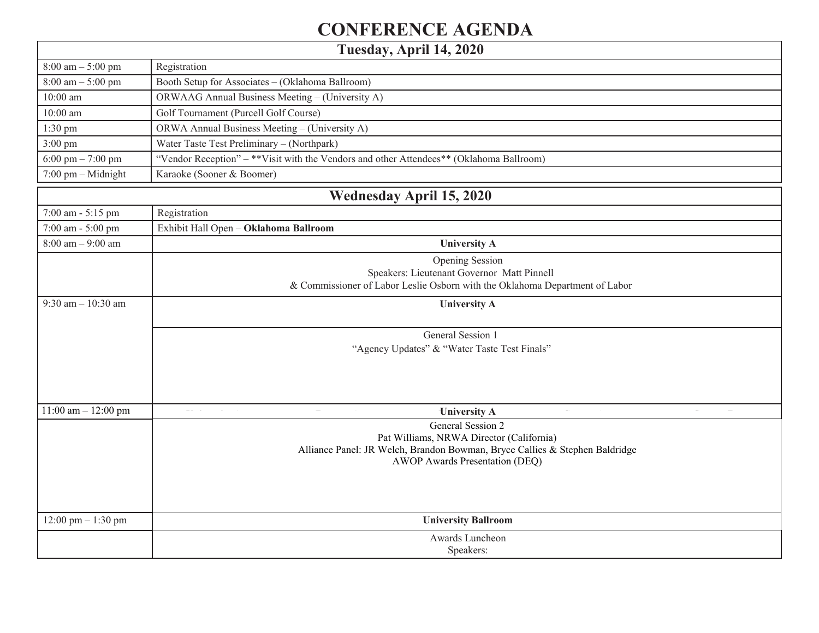## **CONFERENCE AGENDA**

**Tuesday, April 14, 2020**

 $\mathbf{I}$ 

| $8:00~\rm{am} - 5:00~\rm{pm}$              | Registration                                                                            |  |  |  |  |
|--------------------------------------------|-----------------------------------------------------------------------------------------|--|--|--|--|
| $8:00 \text{ am} - 5:00 \text{ pm}$        | Booth Setup for Associates - (Oklahoma Ballroom)                                        |  |  |  |  |
| $10:00$ am                                 | ORWAAG Annual Business Meeting - (University A)                                         |  |  |  |  |
| $10:00$ am                                 | Golf Tournament (Purcell Golf Course)                                                   |  |  |  |  |
| $1:30$ pm                                  | ORWA Annual Business Meeting - (University A)                                           |  |  |  |  |
| $3:00 \text{ pm}$                          | Water Taste Test Preliminary - (Northpark)                                              |  |  |  |  |
| 6:00 pm $- 7:00$ pm                        | "Vendor Reception" - **Visit with the Vendors and other Attendees** (Oklahoma Ballroom) |  |  |  |  |
| $7:00$ pm $-$ Midnight                     | Karaoke (Sooner & Boomer)                                                               |  |  |  |  |
|                                            | <b>Wednesday April 15, 2020</b>                                                         |  |  |  |  |
| 7:00 am - 5:15 pm                          | Registration                                                                            |  |  |  |  |
| 7:00 am - 5:00 pm                          | Exhibit Hall Open - Oklahoma Ballroom                                                   |  |  |  |  |
| $8:00 \text{ am} - 9:00 \text{ am}$        | <b>University A</b>                                                                     |  |  |  |  |
|                                            | Opening Session                                                                         |  |  |  |  |
| Speakers: Lieutenant Governor Matt Pinnell |                                                                                         |  |  |  |  |
|                                            | & Commissioner of Labor Leslie Osborn with the Oklahoma Department of Labor             |  |  |  |  |
| 9:30 am $-10:30$ am                        | <b>University A</b>                                                                     |  |  |  |  |
|                                            | General Session 1                                                                       |  |  |  |  |
|                                            | "Agency Updates" & "Water Taste Test Finals"                                            |  |  |  |  |
|                                            |                                                                                         |  |  |  |  |
|                                            |                                                                                         |  |  |  |  |
|                                            |                                                                                         |  |  |  |  |
| 11:00 am $-$ 12:00 pm                      | <b>University A</b>                                                                     |  |  |  |  |
|                                            | General Session 2                                                                       |  |  |  |  |
|                                            | Pat Williams, NRWA Director (California)                                                |  |  |  |  |
|                                            | Alliance Panel: JR Welch, Brandon Bowman, Bryce Callies & Stephen Baldridge             |  |  |  |  |
|                                            | AWOP Awards Presentation (DEQ)                                                          |  |  |  |  |
|                                            |                                                                                         |  |  |  |  |
|                                            |                                                                                         |  |  |  |  |
| 12:00 pm $- 1:30$ pm                       | <b>University Ballroom</b>                                                              |  |  |  |  |
|                                            | Awards Luncheon                                                                         |  |  |  |  |
|                                            | Speakers:                                                                               |  |  |  |  |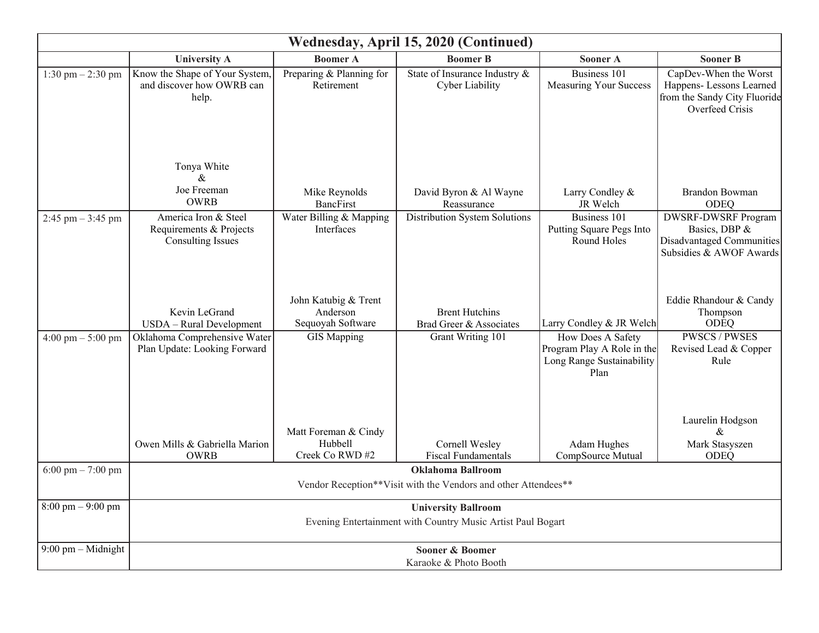| Wednesday, April 15, 2020 (Continued) |                                                                                            |                                                       |                                                  |                                                                                      |                                                                                                      |  |  |  |
|---------------------------------------|--------------------------------------------------------------------------------------------|-------------------------------------------------------|--------------------------------------------------|--------------------------------------------------------------------------------------|------------------------------------------------------------------------------------------------------|--|--|--|
|                                       | <b>University A</b>                                                                        | <b>Boomer A</b>                                       | <b>Boomer B</b>                                  | <b>Sooner A</b>                                                                      | <b>Sooner B</b>                                                                                      |  |  |  |
| $1:30 \text{ pm} - 2:30 \text{ pm}$   | Know the Shape of Your System,<br>and discover how OWRB can<br>help.                       | Preparing & Planning for<br>Retirement                | State of Insurance Industry &<br>Cyber Liability | Business 101<br><b>Measuring Your Success</b>                                        | CapDev-When the Worst<br>Happens- Lessons Learned<br>from the Sandy City Fluoride<br>Overfeed Crisis |  |  |  |
|                                       | Tonya White<br>$\&$<br>Joe Freeman<br><b>OWRB</b>                                          | Mike Reynolds<br><b>BancFirst</b>                     | David Byron & Al Wayne<br>Reassurance            | Larry Condley &<br>JR Welch                                                          | Brandon Bowman<br>ODEQ                                                                               |  |  |  |
| 2:45 pm $-$ 3:45 pm                   | America Iron & Steel<br>Requirements & Projects<br><b>Consulting Issues</b>                | Water Billing & Mapping<br>Interfaces                 | Distribution System Solutions                    | Business 101<br>Putting Square Pegs Into<br>Round Holes                              | <b>DWSRF-DWSRF Program</b><br>Basics, DBP &<br>Disadvantaged Communities<br>Subsidies & AWOF Awards  |  |  |  |
|                                       | Kevin LeGrand<br>USDA - Rural Development                                                  | John Katubig & Trent<br>Anderson<br>Sequoyah Software | <b>Brent Hutchins</b><br>Brad Greer & Associates | Larry Condley & JR Welch                                                             | Eddie Rhandour & Candy<br>Thompson<br><b>ODEQ</b>                                                    |  |  |  |
| $4:00 \text{ pm} - 5:00 \text{ pm}$   | Oklahoma Comprehensive Water<br>Plan Update: Looking Forward                               | <b>GIS Mapping</b>                                    | Grant Writing 101                                | How Does A Safety<br>Program Play A Role in the<br>Long Range Sustainability<br>Plan | <b>PWSCS/PWSES</b><br>Revised Lead & Copper<br>Rule                                                  |  |  |  |
|                                       | Owen Mills & Gabriella Marion<br><b>OWRB</b>                                               | Matt Foreman & Cindy<br>Hubbell<br>Creek Co RWD #2    | Cornell Wesley<br><b>Fiscal Fundamentals</b>     | Adam Hughes<br>CompSource Mutual                                                     | Laurelin Hodgson<br>$\&$<br>Mark Stasyszen<br>ODEQ                                                   |  |  |  |
| 6:00 pm $- 7:00$ pm                   | <b>Oklahoma Ballroom</b><br>Vendor Reception**Visit with the Vendors and other Attendees** |                                                       |                                                  |                                                                                      |                                                                                                      |  |  |  |
| $8:00 \text{ pm} - 9:00 \text{ pm}$   | <b>University Ballroom</b><br>Evening Entertainment with Country Music Artist Paul Bogart  |                                                       |                                                  |                                                                                      |                                                                                                      |  |  |  |
| $9:00$ pm - Midnight                  | Sooner & Boomer<br>Karaoke & Photo Booth                                                   |                                                       |                                                  |                                                                                      |                                                                                                      |  |  |  |